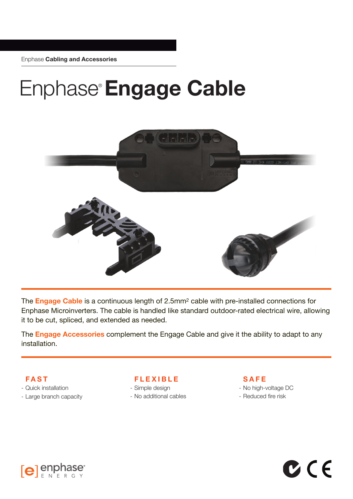Enphase **Cabling and Accessories**

## Enphase®**Engage Cable**



The **Engage Cable** is a continuous length of 2.5mm2 cable with pre-installed connections for Enphase Microinverters. The cable is handled like standard outdoor-rated electrical wire, allowing it to be cut, spliced, and extended as needed.

The **Engage Accessories** complement the Engage Cable and give it the ability to adapt to any installation.

**FAST**

- Quick installation
- Large branch capacity

**FLEXIBLE**

- Simple design - No additional cables **SAFE**

- No high-voltage DC

 $C$  (  $\in$ 

- Reduced fire risk